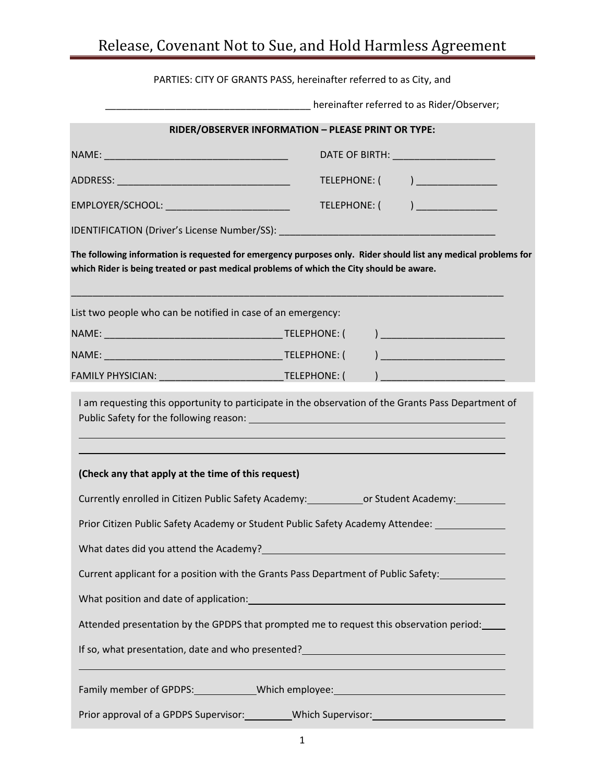## Release, Covenant Not to Sue, and Hold Harmless Agreement

| PARTIES: CITY OF GRANTS PASS, hereinafter referred to as City, and                                                                                                                                         |                                                                 |
|------------------------------------------------------------------------------------------------------------------------------------------------------------------------------------------------------------|-----------------------------------------------------------------|
| ____________________________________hereinafter referred to as Rider/Observer;                                                                                                                             |                                                                 |
| RIDER/OBSERVER INFORMATION - PLEASE PRINT OR TYPE:                                                                                                                                                         |                                                                 |
|                                                                                                                                                                                                            | DATE OF BIRTH: ________________________                         |
|                                                                                                                                                                                                            | TELEPHONE: ( ) _______________                                  |
| EMPLOYER/SCHOOL: ____________________________                                                                                                                                                              | TELEPHONE: ( ) _______________                                  |
|                                                                                                                                                                                                            |                                                                 |
| The following information is requested for emergency purposes only. Rider should list any medical problems for<br>which Rider is being treated or past medical problems of which the City should be aware. |                                                                 |
| List two people who can be notified in case of an emergency:                                                                                                                                               |                                                                 |
|                                                                                                                                                                                                            |                                                                 |
|                                                                                                                                                                                                            | ) and the contract of the contract of $\mathcal{L}_\mathcal{A}$ |
| FAMILY PHYSICIAN: ________________________________TELEPHONE: (   ) ________________________________                                                                                                        |                                                                 |
| I am requesting this opportunity to participate in the observation of the Grants Pass Department of<br>,我们也不能在这里的时候,我们也不能在这里的时候,我们也不能会在这里的时候,我们也不能会在这里的时候,我们也不能会在这里的时候,我们也不能会在这里的时候,我们也                    |                                                                 |
| (Check any that apply at the time of this request)                                                                                                                                                         |                                                                 |
| Currently enrolled in Citizen Public Safety Academy:________________or Student Academy:____________                                                                                                        |                                                                 |
| Prior Citizen Public Safety Academy or Student Public Safety Academy Attendee: 1986                                                                                                                        |                                                                 |
|                                                                                                                                                                                                            |                                                                 |
| Current applicant for a position with the Grants Pass Department of Public Safety:                                                                                                                         |                                                                 |
| What position and date of application: Manual Assembly and the set of application:                                                                                                                         |                                                                 |
| Attended presentation by the GPDPS that prompted me to request this observation period:                                                                                                                    |                                                                 |
|                                                                                                                                                                                                            |                                                                 |
| Family member of GPDPS:______________Which employee:____________________________                                                                                                                           |                                                                 |
| Prior approval of a GPDPS Supervisor: ____________Which Supervisor: ________________________________                                                                                                       |                                                                 |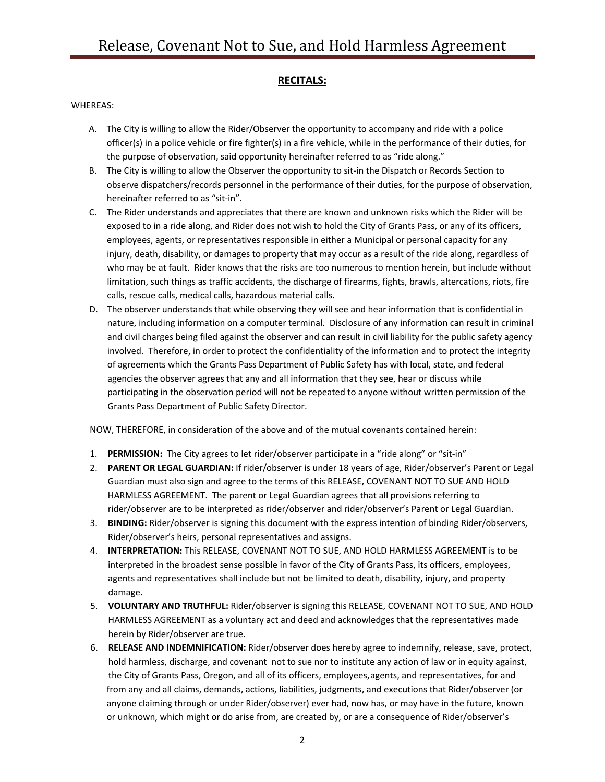## **RECITALS:**

## WHEREAS:

- A. The City is willing to allow the Rider/Observer the opportunity to accompany and ride with a police officer(s) in a police vehicle or fire fighter(s) in a fire vehicle, while in the performance of their duties, for the purpose of observation, said opportunity hereinafter referred to as "ride along."
- B. The City is willing to allow the Observer the opportunity to sit‐in the Dispatch or Records Section to observe dispatchers/records personnel in the performance of their duties, for the purpose of observation, hereinafter referred to as "sit‐in".
- C. The Rider understands and appreciates that there are known and unknown risks which the Rider will be exposed to in a ride along, and Rider does not wish to hold the City of Grants Pass, or any of its officers, employees, agents, or representatives responsible in either a Municipal or personal capacity for any injury, death, disability, or damages to property that may occur as a result of the ride along, regardless of who may be at fault. Rider knows that the risks are too numerous to mention herein, but include without limitation, such things as traffic accidents, the discharge of firearms, fights, brawls, altercations, riots, fire calls, rescue calls, medical calls, hazardous material calls.
- D. The observer understands that while observing they will see and hear information that is confidential in nature, including information on a computer terminal. Disclosure of any information can result in criminal and civil charges being filed against the observer and can result in civil liability for the public safety agency involved. Therefore, in order to protect the confidentiality of the information and to protect the integrity of agreements which the Grants Pass Department of Public Safety has with local, state, and federal agencies the observer agrees that any and all information that they see, hear or discuss while participating in the observation period will not be repeated to anyone without written permission of the Grants Pass Department of Public Safety Director.

NOW, THEREFORE, in consideration of the above and of the mutual covenants contained herein:

- 1. **PERMISSION:** The City agrees to let rider/observer participate in a "ride along" or "sit-in"
- 2. **PARENT OR LEGAL GUARDIAN:** If rider/observer is under 18 years of age, Rider/observer's Parent or Legal Guardian must also sign and agree to the terms of this RELEASE, COVENANT NOT TO SUE AND HOLD HARMLESS AGREEMENT. The parent or Legal Guardian agrees that all provisions referring to rider/observer are to be interpreted as rider/observer and rider/observer's Parent or Legal Guardian.
- 3. **BINDING:** Rider/observer is signing this document with the express intention of binding Rider/observers, Rider/observer's heirs, personal representatives and assigns.
- 4. **INTERPRETATION:** This RELEASE, COVENANT NOT TO SUE, AND HOLD HARMLESS AGREEMENT is to be interpreted in the broadest sense possible in favor of the City of Grants Pass, its officers, employees, agents and representatives shall include but not be limited to death, disability, injury, and property damage.
- 5. **VOLUNTARY AND TRUTHFUL:** Rider/observer is signing this RELEASE, COVENANT NOT TO SUE, AND HOLD HARMLESS AGREEMENT as a voluntary act and deed and acknowledges that the representatives made herein by Rider/observer are true.
- 6. **RELEASE AND INDEMNIFICATION:** Rider/observer does hereby agree to indemnify, release, save, protect, hold harmless, discharge, and covenant not to sue nor to institute any action of law or in equity against, the City of Grants Pass, Oregon, and all of its officers, employees,agents, and representatives, for and from any and all claims, demands, actions, liabilities, judgments, and executions that Rider/observer (or anyone claiming through or under Rider/observer) ever had, now has, or may have in the future, known or unknown, which might or do arise from, are created by, or are a consequence of Rider/observer's